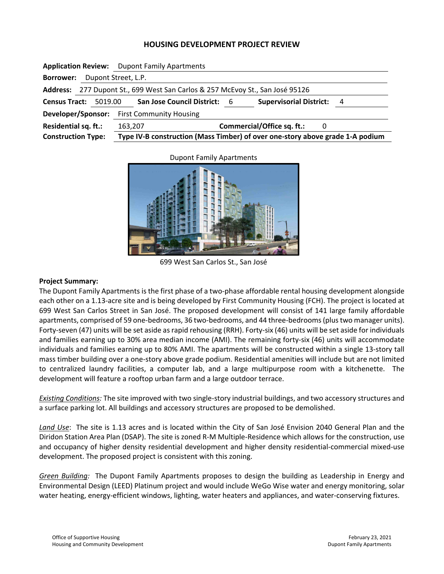## **HOUSING DEVELOPMENT PROJECT REVIEW**

|                                                                               |                     | <b>Application Review:</b> Dupont Family Apartments                           |  |  |  |
|-------------------------------------------------------------------------------|---------------------|-------------------------------------------------------------------------------|--|--|--|
| <b>Borrower:</b>                                                              | Dupont Street, L.P. |                                                                               |  |  |  |
| Address: 277 Dupont St., 699 West San Carlos & 257 McEvoy St., San José 95126 |                     |                                                                               |  |  |  |
| Census Tract: 5019.00                                                         |                     | <b>Supervisorial District:</b><br>San Jose Council District: 6<br>- 4         |  |  |  |
| Developer/Sponsor:                                                            |                     | <b>First Community Housing</b>                                                |  |  |  |
| Residential sq. ft.:                                                          |                     | Commercial/Office sq. ft.:<br>163,207<br>0                                    |  |  |  |
| <b>Construction Type:</b>                                                     |                     | Type IV-B construction (Mass Timber) of over one-story above grade 1-A podium |  |  |  |

Dupont Family Apartments



699 West San Carlos St., San José

## **Project Summary:**

The Dupont Family Apartments is the first phase of a two‐phase affordable rental housing development alongside each other on a 1.13-acre site and is being developed by First Community Housing (FCH). The project is located at 699 West San Carlos Street in San José. The proposed development will consist of 141 large family affordable apartments, comprised of 59 one‐bedrooms, 36 two‐bedrooms, and 44 three‐bedrooms (plus two manager units). Forty-seven (47) units will be set aside as rapid rehousing (RRH). Forty-six (46) units will be set aside for individuals and families earning up to 30% area median income (AMI). The remaining forty‐six (46) units will accommodate individuals and families earning up to 80% AMI. The apartments will be constructed within a single 13‐story tall mass timber building over a one‐story above grade podium. Residential amenities will include but are not limited to centralized laundry facilities, a computer lab, and a large multipurpose room with a kitchenette. The development will feature a rooftop urban farm and a large outdoor terrace.

*Existing Conditions:* The site improved with two single‐story industrial buildings, and two accessory structures and a surface parking lot. All buildings and accessory structures are proposed to be demolished.

*Land Use*: The site is 1.13 acres and is located within the City of San José Envision 2040 General Plan and the Diridon Station Area Plan (DSAP). The site is zoned R‐M Multiple‐Residence which allows for the construction, use and occupancy of higher density residential development and higher density residential-commercial mixed-use development. The proposed project is consistent with this zoning.

*Green Building:* The Dupont Family Apartments proposes to design the building as Leadership in Energy and Environmental Design (LEED) Platinum project and would include WeGo Wise water and energy monitoring, solar water heating, energy-efficient windows, lighting, water heaters and appliances, and water-conserving fixtures.